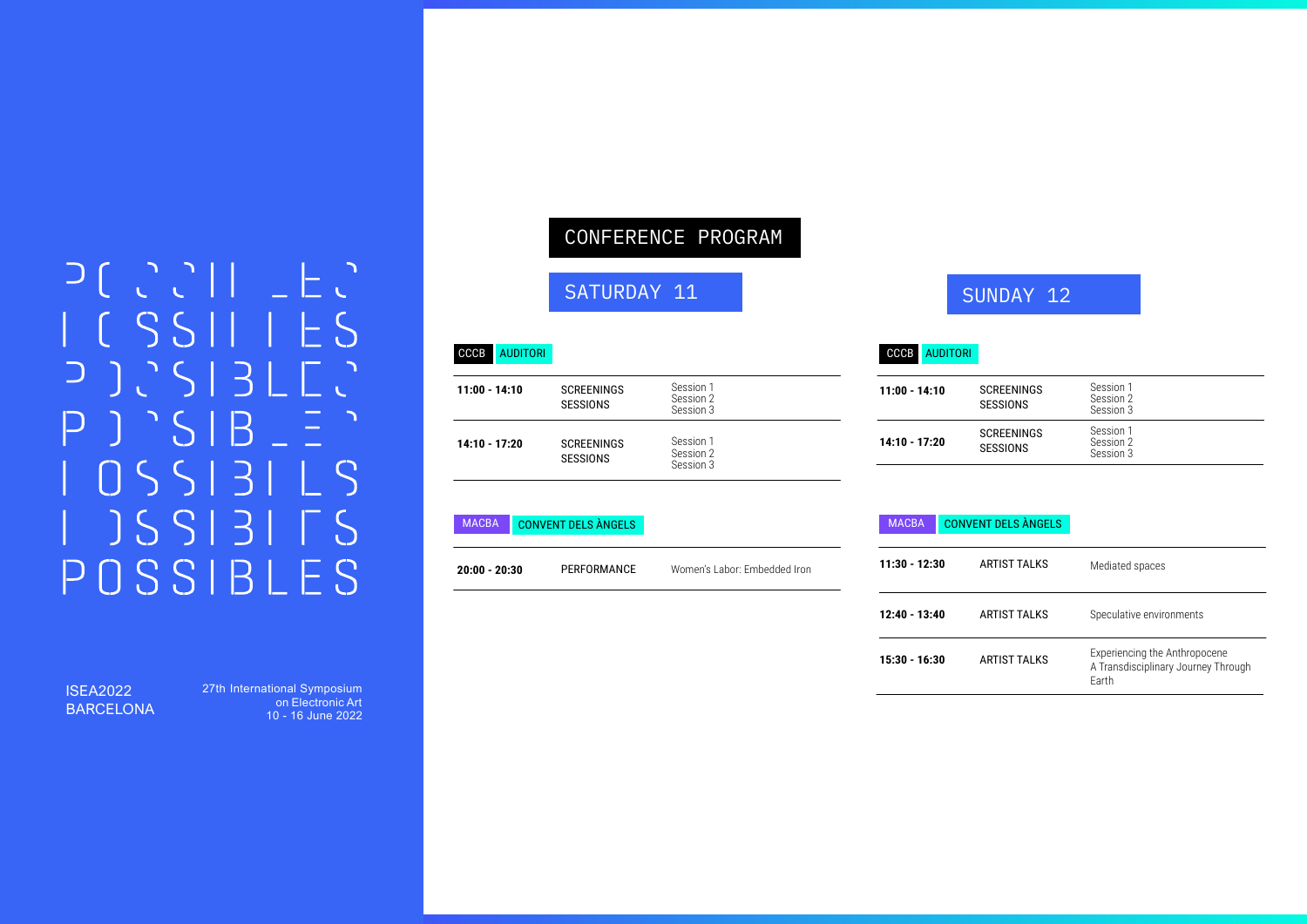# $D[C][1][E]$  $IGSSIIIES$  $D)$  $7^{\circ}SIB =$  $\mathsf{P}$  $\bigcap \bigcap \bigcap \bigcap \bigcap \bigcap \bigcap \bigcap \bigcap \bigcap \bigcap \bigcap \bigcap$  $JSSI31TS$ POSSIBLES

#### ISEA2022 BARCELONA

27th International Symposium on Electronic Art 10 - 16 June 2022

## CONFERENCE PROGRAM

### SATURDAY 11

## SUNDAY 12

SESSIONS

SCREENINGS SESSIONS

#### CCCB AUDITORI CCCB

| 11:00 - 14:10 | <b>SCREENINGS</b><br><b>SESSIONS</b> | Session 1<br>Session 2<br>Session 3 |
|---------------|--------------------------------------|-------------------------------------|
| 14:10 - 17:20 | <b>SCREENINGS</b><br><b>SESSIONS</b> | Session 1<br>Session 2<br>Session 3 |

#### MACBA CONVENT DELS ÀNGELS

**20:00 - 20:30** PERFORMANCE Women's Labor: Embedded Iron

MACBA CONVENT DELS ÀNGELS

**11:00 - 14:10** SCREENINGS

AUDITORI

**14:10 - 17:20**

| $11:30 - 12:30$ | ARTIST TALKS        | Mediated spaces                                                               |
|-----------------|---------------------|-------------------------------------------------------------------------------|
| $12:40 - 13:40$ | ARTIST TALKS        | Speculative environments                                                      |
| 15:30 - 16:30   | <b>ARTIST TALKS</b> | Experiencing the Anthropocene<br>A Transdisciplinary Journey Through<br>Farth |
|                 |                     |                                                                               |

Session 1 Session 2 Session 3 Session 1 Session 2 Session 3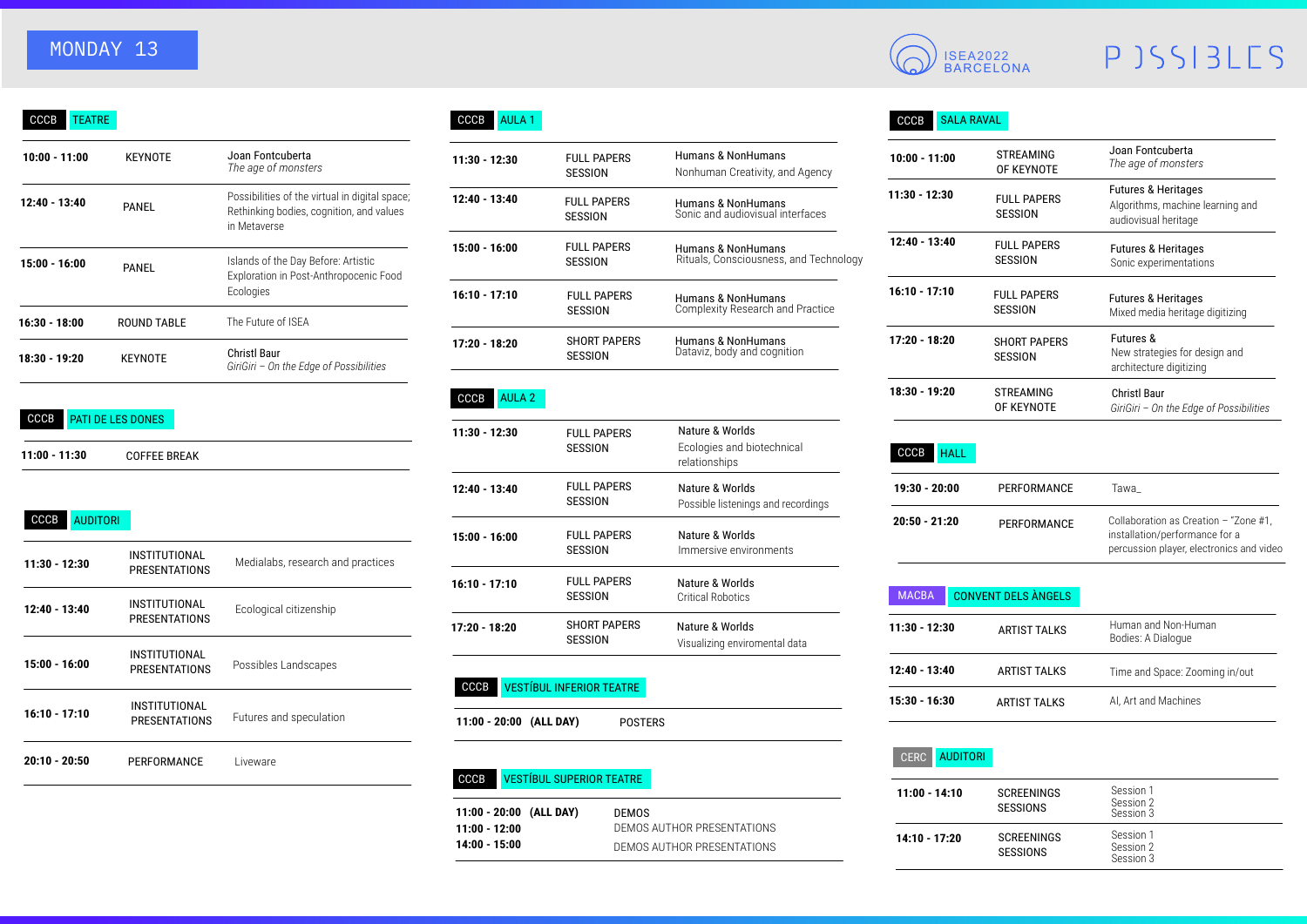# MONDAY 13

| <b>KEYNOTE</b>     | Joan Fontcuberta<br>The age of monsters                                                                    |
|--------------------|------------------------------------------------------------------------------------------------------------|
| PANEL              | Possibilities of the virtual in digital space;<br>Rethinking bodies, cognition, and values<br>in Metaverse |
| PANEL              | Islands of the Day Before: Artistic<br>Exploration in Post-Anthropocenic Food<br>Ecologies                 |
| <b>ROUND TABLE</b> | The Future of ISEA                                                                                         |
| <b>KEYNOTE</b>     | <b>Christl Baur</b><br>GiriGiri - On the Edge of Possibilities                                             |
|                    |                                                                                                            |

#### CCCB PATI DE LES DONES

**11:00 - 11:30** COFFEE BREAK

| CCCB<br><b>AUDITORI</b> |                                       |                                   |
|-------------------------|---------------------------------------|-----------------------------------|
| 11:30 - 12:30           | INSTITUTIONAL<br>PRESENTATIONS        | Medialabs, research and practices |
| 12:40 - 13:40           | INSTITUTIONAL<br><b>PRESENTATIONS</b> | Ecological citizenship            |
| 15:00 - 16:00           | INSTITUTIONAL<br><b>PRESENTATIONS</b> | Possibles Landscapes              |
| $16:10 - 17:10$         | INSTITUTIONAL<br>PRESENTATIONS        | Futures and speculation           |
| $20:10 - 20:50$         | PERFORMANCE                           | Liveware                          |

### CCCB AULA 1

| Joan Fontcuberta<br>The age of monsters                                                                    | $11:30 - 12:30$ | <b>FULL PAPERS</b><br><b>SESSION</b> | Humans & NonHumans<br>Nonhuman Creativity, and Agency        | $10:00 - 11:00$ | <b>STREAMING</b><br>OF KEYNOTI      |
|------------------------------------------------------------------------------------------------------------|-----------------|--------------------------------------|--------------------------------------------------------------|-----------------|-------------------------------------|
| Possibilities of the virtual in digital space;<br>Rethinking bodies, cognition, and values<br>in Metaverse | $12:40 - 13:40$ | <b>FULL PAPERS</b><br>SESSION        | Humans & NonHumans<br>Sonic and audiovisual interfaces       | $11:30 - 12:30$ | <b>FULL PAPER</b><br><b>SESSION</b> |
| Islands of the Day Before: Artistic<br>Exploration in Post-Anthropocenic Food<br>Ecologies                 | $15:00 - 16:00$ | <b>FULL PAPERS</b><br><b>SESSION</b> | Humans & NonHumans<br>Rituals, Consciousness, and Technology | $12:40 - 13:40$ | <b>FULL PAPER</b><br><b>SESSION</b> |
|                                                                                                            | $16:10 - 17:10$ | <b>FULL PAPERS</b><br><b>SESSION</b> | Humans & NonHumans<br>Complexity Research and Practice       | $16:10 - 17:10$ | <b>FULL PAPER</b><br><b>SESSION</b> |
| The Future of ISEA                                                                                         | $17:20 - 18:20$ | <b>SHORT PAPERS</b>                  | Humans & NonHumans                                           | $17:20 - 18:20$ | <b>SHORT PAPE</b>                   |
| Christl Baur<br>GiriGiri – On the Edge of Possibilities                                                    |                 | <b>SESSION</b>                       | Dataviz, body and cognition                                  |                 | <b>SESSION</b>                      |

#### CCCB AULA 2

| $11:30 - 12:30$ | <b>FULL PAPERS</b><br>SESSION  | Nature & Worlds<br>Ecologies and biotechnical<br>relationships |
|-----------------|--------------------------------|----------------------------------------------------------------|
| 12:40 - 13:40   | <b>FULL PAPERS</b><br>SESSION  | Nature & Worlds<br>Possible listenings and recordings          |
| 15:00 - 16:00   | <b>FULL PAPERS</b><br>SESSION  | Nature & Worlds<br>Immersive environments                      |
| $16:10 - 17:10$ | <b>FULL PAPERS</b><br>SESSION  | Nature & Worlds<br>Critical Robotics                           |
| 17:20 - 18:20   | <b>SHORT PAPERS</b><br>SESSION | Nature & Worlds<br>Visualizing enviromental data               |
|                 |                                |                                                                |

### CCCB VESTÍBUL INFERIOR TEATRE

**11:00 - 20:00 (ALL DAY)** POSTERS

#### CCCB VESTÍBUL SUPERIOR TEATRE

| $11:00 - 20:00$ (ALL DAY) | DEMOS                      |
|---------------------------|----------------------------|
| 11:00 - 12:00             | DEMOS AUTHOR PRESENTATIONS |
| 14:00 - 15:00             | DEMOS AUTHOR PRESENTATIONS |

# ISEA2022 BARCELONA

# PJSSIBLES

### CCCB SALA RAVAL

| $10:00 - 11:00$ | <b>STREAMING</b><br>OF KEYNOTE        | Joan Fontcuberta<br>The age of monsters                                                    |
|-----------------|---------------------------------------|--------------------------------------------------------------------------------------------|
| 11:30 - 12:30   | <b>FULL PAPERS</b><br>SESSION         | <b>Futures &amp; Heritages</b><br>Algorithms, machine learning and<br>audiovisual heritage |
| $12:40 - 13:40$ | <b>FULL PAPERS</b><br>SESSION         | <b>Futures &amp; Heritages</b><br>Sonic experimentations                                   |
| $16:10 - 17:10$ | <b>FULL PAPERS</b><br>SESSION         | <b>Futures &amp; Heritages</b><br>Mixed media heritage digitizing                          |
| 17:20 - 18:20   | <b>SHORT PAPERS</b><br><b>SESSION</b> | <b>Futures &amp;</b><br>New strategies for design and<br>architecture digitizing           |
| 18:30 - 19:20   | <b>STREAMING</b><br>OF KEYNOTE        | <b>Christl Baur</b><br>GiriGiri - On the Edge of Possibilities                             |

#### CCCB HALL

| 19:30 - 20:00 | PERFORMANCE | Tawa                                                                                                                |
|---------------|-------------|---------------------------------------------------------------------------------------------------------------------|
| 20:50 - 21:20 | PERFORMANCE | Collaboration as Creation - "Zone #1.<br>installation/performance for a<br>percussion player, electronics and video |

| <b>MACBA</b>    | <b>CONVENT DELS ÀNGELS</b> |                                           |
|-----------------|----------------------------|-------------------------------------------|
| $11:30 - 12:30$ | <b>ARTIST TALKS</b>        | Human and Non-Human<br>Bodies: A Dialogue |
| $12:40 - 13:40$ | ARTIST TALKS               | Time and Space: Zooming in/out            |
| $15:30 - 16:30$ | ARTIST TALKS               | AI, Art and Machines                      |

#### CERC AUDITORI

| $11:00 - 14:10$ | <b>SCREENINGS</b><br><b>SESSIONS</b> | Session 1<br>Session 2<br>Session 3 |
|-----------------|--------------------------------------|-------------------------------------|
| 14:10 - 17:20   | <b>SCREENINGS</b><br><b>SESSIONS</b> | Session 1<br>Session 2<br>Session 3 |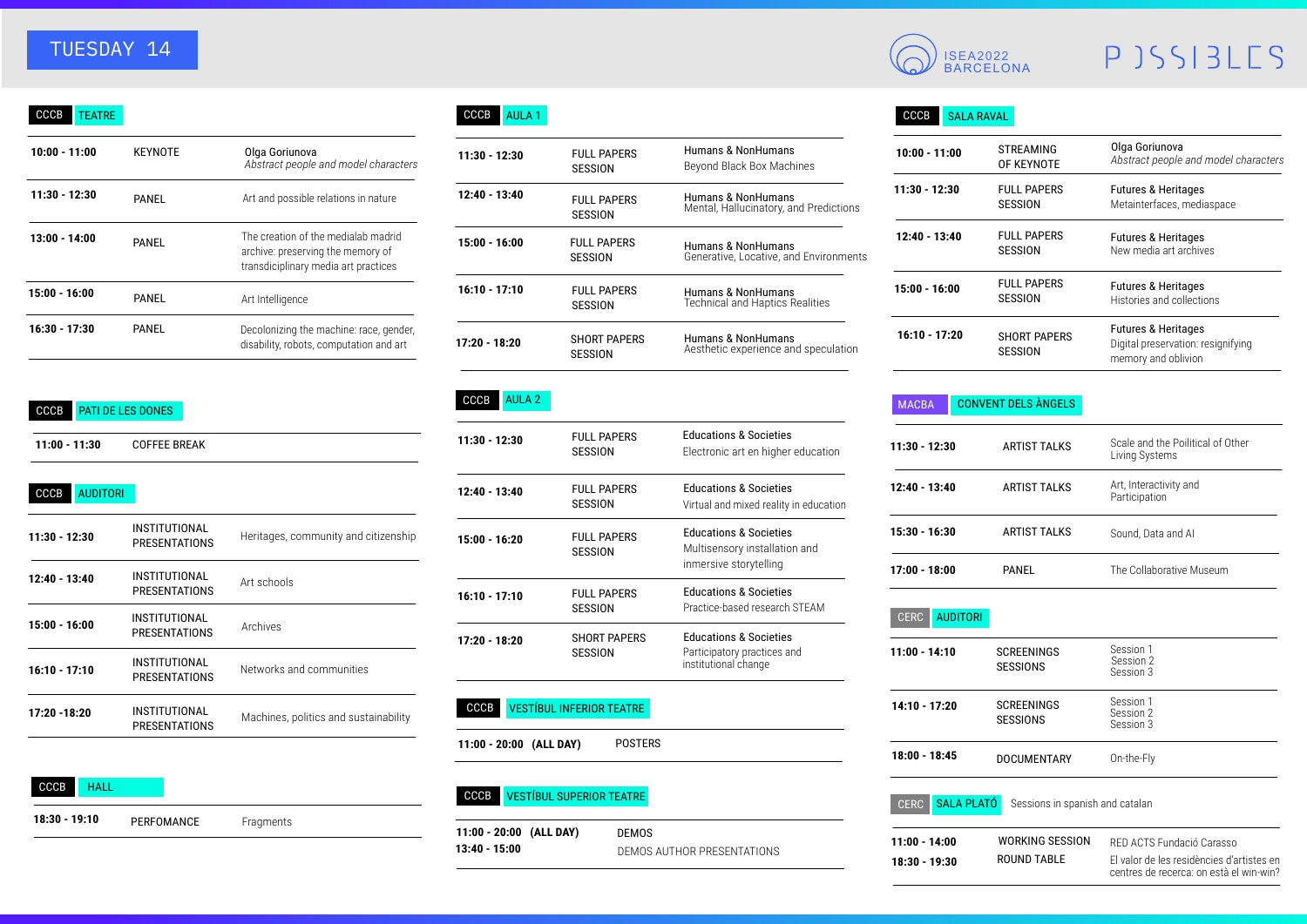# TUESDAY 14

| CCCB<br>TEATRE  |                |                                                                                                                  |
|-----------------|----------------|------------------------------------------------------------------------------------------------------------------|
| 10:00 - 11:00   | <b>KEYNOTE</b> | Olga Goriunova<br>Abstract people and model characters                                                           |
| 11:30 - 12:30   | PANEL          | Art and possible relations in nature                                                                             |
| $13:00 - 14:00$ | PANFI          | The creation of the medialab madrid<br>archive: preserving the memory of<br>transdiciplinary media art practices |
| 15:00 - 16:00   | PANEL          | Art Intelligence                                                                                                 |
| $16:30 - 17:30$ | PANEL          | Decolonizing the machine: race, gender,<br>disability, robots, computation and art                               |

#### CCCB PATI DE LES DONES

CCCB AUDITORI

| 11:00 - 11:30 | <b>COFFEE BREAK</b> |
|---------------|---------------------|
|               |                     |

| $11:30 - 12:30$ | INSTITUTIONAL<br>PRESENTATIONS | Heritages, community and citizenship  |
|-----------------|--------------------------------|---------------------------------------|
| $12:40 - 13:40$ | INSTITUTIONAL<br>PRESENTATIONS | Art schools                           |
| 15:00 - 16:00   | INSTITUTIONAL<br>PRESENTATIONS | Archives                              |
| $16:10 - 17:10$ | INSTITUTIONAL<br>PRESENTATIONS | Networks and communities              |
| 17:20 - 18:20   | INSTITUTIONAL<br>PRESENTATIONS | Machines, politics and sustainability |

| CCCB          | HAII |            |           |  |
|---------------|------|------------|-----------|--|
| 18:30 - 19:10 |      | PERFOMANCE | Fragments |  |

### CCCB AULA 1

| Olga Goriunova<br>Abstract people and model characters                                                         | $11:30 - 12:30$ | <b>FULL PAPERS</b><br><b>SESSION</b>  | Humans & NonHumans<br>Beyond Black Box Machines              | $10:00 - 11:00$ | <b>STREAMING</b><br>OF KEYNOTI      |
|----------------------------------------------------------------------------------------------------------------|-----------------|---------------------------------------|--------------------------------------------------------------|-----------------|-------------------------------------|
| Art and possible relations in nature                                                                           | 12:40 - 13:40   | <b>FULL PAPERS</b><br><b>SESSION</b>  | Humans & NonHumans<br>Mental, Hallucinatory, and Predictions | $11:30 - 12:30$ | <b>FULL PAPER</b><br>SESSION        |
| he creation of the medialab madrid<br>irchive: preserving the memory of<br>ransdiciplinary media art practices | $15:00 - 16:00$ | <b>FULL PAPERS</b><br><b>SESSION</b>  | Humans & NonHumans<br>Generative, Locative, and Environments | $12:40 - 13:40$ | <b>FULL PAPER</b><br>SESSION        |
| \rt Intelligence                                                                                               | $16:10 - 17:10$ | <b>FULL PAPERS</b><br><b>SESSION</b>  | Humans & NonHumans<br><b>Technical and Haptics Realities</b> | $15:00 - 16:00$ | <b>FULL PAPER</b><br><b>SESSION</b> |
| ecolonizing the machine: race, gender,<br>isability, robots, computation and art                               | 17:20 - 18:20   | <b>SHORT PAPERS</b><br><b>SESSION</b> | Humans & NonHumans<br>Aesthetic experience and speculation   | $16:10 - 17:20$ | <b>SHORT PAPI</b><br><b>SESSION</b> |
|                                                                                                                |                 |                                       |                                                              |                 |                                     |

#### CCCB AULA 2

| $11:30 - 12:30$ | <b>FULL PAPERS</b><br><b>SESSION</b>  | <b>Educations &amp; Societies</b><br>Electronic art en higher education                      |
|-----------------|---------------------------------------|----------------------------------------------------------------------------------------------|
| 12:40 - 13:40   | <b>FULL PAPERS</b><br><b>SESSION</b>  | <b>Educations &amp; Societies</b><br>Virtual and mixed reality in education                  |
| 15:00 - 16:20   | <b>FULL PAPERS</b><br><b>SESSION</b>  | <b>Educations &amp; Societies</b><br>Multisensory installation and<br>inmersive storytelling |
| $16:10 - 17:10$ | <b>FULL PAPERS</b><br><b>SESSION</b>  | <b>Educations &amp; Societies</b><br>Practice-based research STEAM                           |
| $17:20 - 18:20$ | <b>SHORT PAPERS</b><br><b>SESSION</b> | <b>Educations &amp; Societies</b><br>Participatory practices and<br>institutional change     |

### CCCB VESTÍBUL INFERIOR TEATRE

**11:00 - 20:00 (ALL DAY)** POSTERS

#### CCCB VESTÍBUL SUPERIOR TEATRE

DEMOS AUTHOR PRESENTATIONS **11:00 - 20:00 (ALL DAY) 13:40 - 15:00** DEMOS



# PJSSIBLES

#### CCCB SALA RAVAL

| $10:00 - 11:00$ | <b>STREAMING</b><br>OF KEYNOTE | Olga Goriunova<br>Abstract people and model characters                                      |
|-----------------|--------------------------------|---------------------------------------------------------------------------------------------|
| $11:30 - 12:30$ | <b>FULL PAPERS</b><br>SESSION  | <b>Futures &amp; Heritages</b><br>Metainterfaces, mediaspace                                |
| 12:40 - 13:40   | <b>FULL PAPERS</b><br>SESSION  | <b>Futures &amp; Heritages</b><br>New media art archives                                    |
| $15:00 - 16:00$ | <b>FULL PAPERS</b><br>SESSION  | <b>Futures &amp; Heritages</b><br>Histories and collections                                 |
| $16:10 - 17:20$ | <b>SHORT PAPERS</b><br>SESSION | <b>Futures &amp; Heritages</b><br>Digital preservation: resignifying<br>memory and oblivion |

#### MACBA CONVENT DELS ÀNGELS

**18:30 - 19:30**

| 11:30 - 12:30                    | <b>ARTIST TALKS</b>                          | Scale and the Poilitical of Other<br>Living Systems                    |
|----------------------------------|----------------------------------------------|------------------------------------------------------------------------|
| 12:40 - 13:40                    | <b>ARTIST TALKS</b>                          | Art, Interactivity and<br>Participation                                |
| 15:30 - 16:30                    | <b>ARTIST TALKS</b>                          | Sound, Data and Al                                                     |
| 17:00 - 18:00                    | PANEL                                        | The Collaborative Museum                                               |
| <b>AUDITORI</b><br><b>CERC</b>   |                                              |                                                                        |
| 11:00 - 14:10                    | <b>SCREENINGS</b><br><b>SESSIONS</b>         | Session 1<br>Session 2<br>Session 3                                    |
| $14:10 - 17:20$                  | <b>SCREENINGS</b><br><b>SESSIONS</b>         | Session 1<br>Session 2<br>Session 3                                    |
| 18:00 - 18:45                    | <b>DOCUMENTARY</b>                           | On-the-Fly                                                             |
| SALA PLATÓ<br><b>CERC</b>        | Sessions in spanish and catalan              |                                                                        |
| $11:00 - 14:00$<br>18:30 - 19:30 | <b>WORKING SESSION</b><br><b>ROUND TABLE</b> | RED ACTS Fundació Carasso<br>El valor de les residències d'artistes en |

centres de recerca: on està el win-win?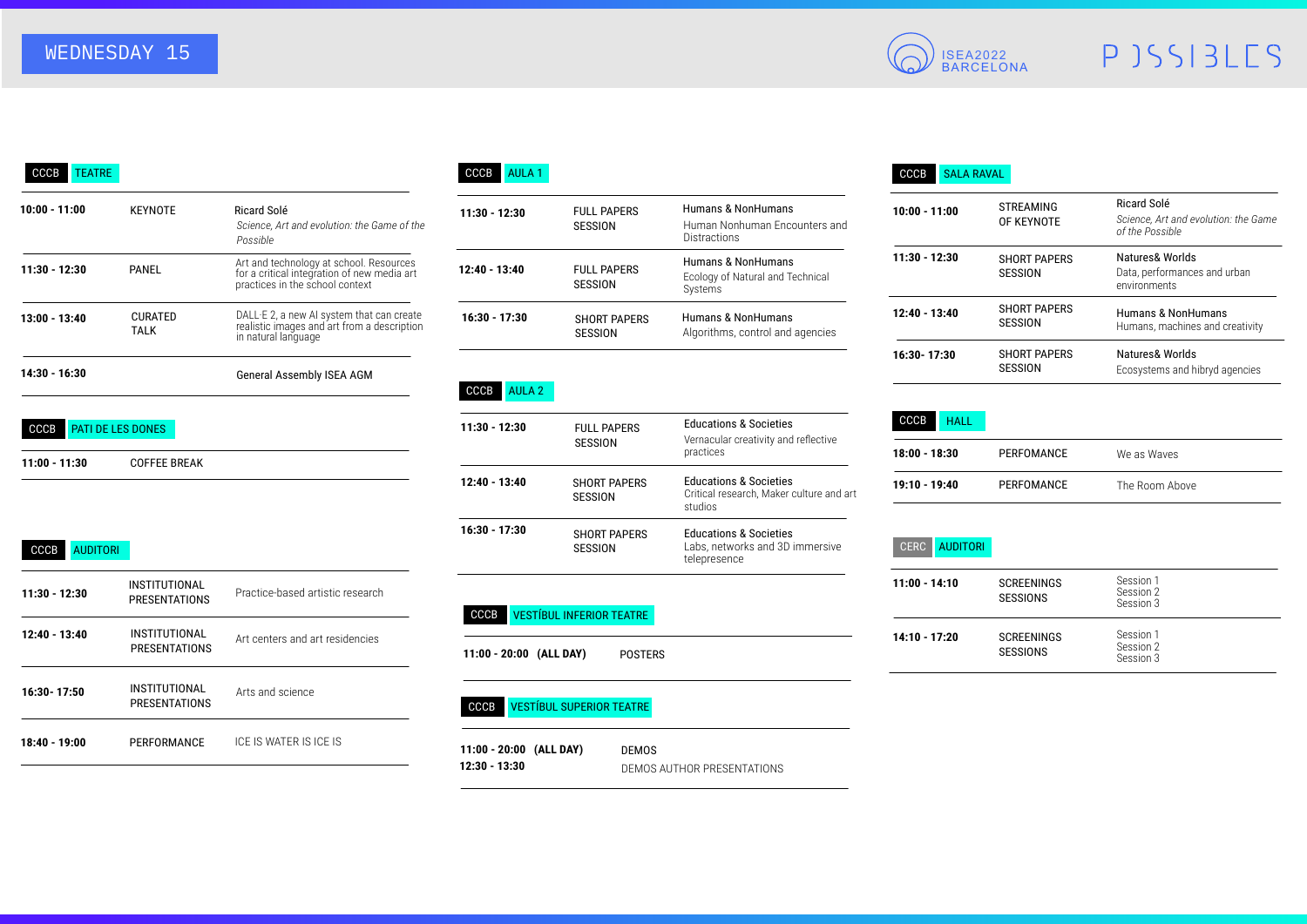# WEDNESDAY 15



# PJSSIBLES

#### CCCB TEATRE

| 10:00 - 11:00 | <b>KEYNOTE</b>           | Ricard Solé<br>Science. Art and evolution: the Game of the<br>Possible                                                    |
|---------------|--------------------------|---------------------------------------------------------------------------------------------------------------------------|
| 11:30 - 12:30 | PANEL                    | Art and technology at school. Resources<br>for a critical integration of new media art<br>practices in the school context |
| 13:00 - 13:40 | <b>CURATED</b><br>TALK   | DALL E 2, a new AI system that can create<br>realistic images and art from a description<br>in natural language           |
| 14:30 - 16:30 |                          | <b>General Assembly ISEA AGM</b>                                                                                          |
| CCCB          | <b>PATI DE LES DONES</b> |                                                                                                                           |
| 11:00 - 11:30 | <b>COFFEE BREAK</b>      |                                                                                                                           |

#### CCCB AUDITORI

| $11:30 - 12:30$ | INSTITUTIONAL<br><b>PRESENTATIONS</b> | Practice-based artistic research |
|-----------------|---------------------------------------|----------------------------------|
| $12:40 - 13:40$ | INSTITUTIONAL<br>PRESENTATIONS        | Art centers and art residencies  |
| 16:30 - 17:50   | INSTITUTIONAL<br><b>PRESENTATIONS</b> | Arts and science                 |
| 18:40 - 19:00   | PERFORMANCE                           | ICE IS WATER IS ICE IS           |
|                 |                                       |                                  |

#### CCCB AULA 1

| Ricard Solé<br>Science, Art and evolution: the Game of the<br>Possible                                                    | $11:30 - 12:30$ | <b>FULL PAPERS</b><br>SESSION        | Humans & NonHumans<br>Human Nonhuman Encounters and<br><b>Distractions</b> | $10:00 - 11:00$ | <b>STREAMING</b><br>OF KEYNOTI      |
|---------------------------------------------------------------------------------------------------------------------------|-----------------|--------------------------------------|----------------------------------------------------------------------------|-----------------|-------------------------------------|
| Art and technology at school. Resources<br>for a critical integration of new media art<br>practices in the school context | $12:40 - 13:40$ | <b>FULL PAPERS</b><br><b>SESSION</b> | Humans & NonHumans<br>Ecology of Natural and Technical<br>Systems          | $11:30 - 12:30$ | <b>SHORT PAPI</b><br>SESSION        |
| DALL E 2, a new AI system that can create<br>realistic images and art from a description<br>in natural language           | $16:30 - 17:30$ | <b>SHORT PAPERS</b><br>SESSION       | Humans & NonHumans<br>Algorithms, control and agencies                     | $12:40 - 13:40$ | <b>SHORT PAPI</b><br><b>SESSION</b> |
|                                                                                                                           |                 |                                      |                                                                            |                 |                                     |

#### CCCB AULA 2

| 11:30 - 12:30 | <b>FULL PAPERS</b><br>SESSION  | <b>Educations &amp; Societies</b><br>Vernacular creativity and reflective<br>practices   |
|---------------|--------------------------------|------------------------------------------------------------------------------------------|
| 12:40 - 13:40 | <b>SHORT PAPERS</b><br>SESSION | <b>Educations &amp; Societies</b><br>Critical research, Maker culture and art<br>studios |
| 16:30 - 17:30 | <b>SHORT PAPERS</b><br>SESSION | <b>Educations &amp; Societies</b><br>Labs, networks and 3D immersive<br>telepresence     |

#### CCCB VESTÍBUL INFERIOR TEATRE

**11:00 - 20:00 (ALL DAY)** POSTERS

#### CCCB VESTÍBUL SUPERIOR TEATRE

DEMOS AUTHOR PRESENTATIONS **11:00 - 20:00 (ALL DAY) 12:30 - 13:30** DEMOS

#### CCCB SALA RAVAL

| $10:00 - 11:00$ | <b>STREAMING</b><br>OF KEYNOTE | Ricard Solé<br>Science, Art and evolution: the Game<br>of the Possible |
|-----------------|--------------------------------|------------------------------------------------------------------------|
| 11:30 - 12:30   | <b>SHORT PAPERS</b><br>SESSION | Natures& Worlds<br>Data, performances and urban<br>environments        |
| 12:40 - 13:40   | <b>SHORT PAPERS</b><br>SESSION | Humans & NonHumans<br>Humans, machines and creativity                  |
| 16:30 - 17:30   | <b>SHORT PAPERS</b><br>SESSION | Natures& Worlds<br>Ecosystems and hibryd agencies                      |

#### CCCB HALL

| 18:00 - 18:30 | PERFOMANCE | We as Waves    |  |
|---------------|------------|----------------|--|
| 19:10 - 19:40 | PERFOMANCE | The Room Above |  |

#### CERC AUDITORI

| $11:00 - 14:10$ | <b>SCREENINGS</b><br><b>SESSIONS</b> | Session 1<br>Session 2<br>Session 3 |
|-----------------|--------------------------------------|-------------------------------------|
| $14:10 - 17:20$ | <b>SCREENINGS</b><br><b>SESSIONS</b> | Session 1<br>Session 2<br>Session 3 |